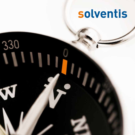# solventis

## 330 N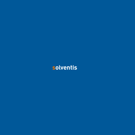## solventis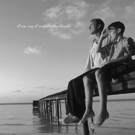A new way of understanding finance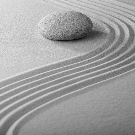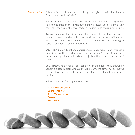Presentation Solventis is an independent financial group registered with the Spanish Securities Authorities (CNMV).

> Solventis was established in 2002 by a team of professionals with backgrounds in different areas of the investment banking sector. We represent a new concept in the financial services sector, as evident in its governing principles:

> Agility. For us, swiftness is a key asset, in contrast to the slow response of organizations not capable of dynamic decision-making because of their size. This is particularly relevant in the financial sector which is affected by highly volatile conditions, as shown in recent years.

> SPECIALIZATION. Unlike other organizations, Solventis focuses on very specific financial areas. The expertise of our team, with over 25 years of experience in the industry, allows us to take on projects with maximum prospects of success.

> Commitment. As a financial services provider, the added value offered by Solventis is based on its human capital. This is why the company's executives are shareholders, ensuring their commitment in striving for optimum service quality.

Solventis works in five major business areas:

- **·** Financial Consulting
- **·** Corporate Finance
- **·** Asset Management
- **·** Brokerage
- **·** Real Estate

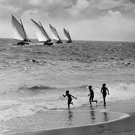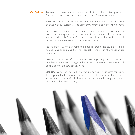Our Values Alignment of Interests. We ourselves are the first customer of our products. Only what is good enough for us is good enough for our customers.

> Transparency. At Solventis we look to establish long-term relations based on trust with our customers, and being transparent is part of our philosophy.

> Experience. The Solventis team has over twenty-five years of experience in investment management services for financial institutions, both domestically and internationally. Solventis' executives have held senior positions in all institutions where they have provided their services.

> Independence. By not belonging to a financial group that could determine its decisions or opinions, Solventis' capital is entirely in the hands of its executives.

> PROXIMITY. The service offered is based on working closely with the customer. At Solventis it is essential to get to know them, understand their needs and be able to offer the service they want.

> STABILITY. Team stability is a key factor in any financial services company. This is guaranteed in Solventis because its executives are also shareholders, so customers do not suffer the inconvenience of constant changes in contact personnel or business strategy.

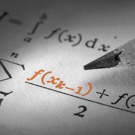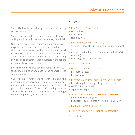### 1. Risk Control Consulting

- **·** Market Risk.
- **·** Credit Risk.
- **·** Liquidity Risk.

### 2. Financial Asset Valuation (FAV)

- **·** Solventis is specialized in valuing all kind of financial assets.
- **·** Adjusted Valuations for Counterparty Risk (CVA, DVA, FVA).
- **·** Due Diligence of financial assets.

## 3. Calculation Agent

#### 4.Hedge Effectiveness Testing

- **·** Prospective Tests.
- **·** Retrospective Tests.

### 5. Preparation of Reports by Independent Experts

- **·** Reports required by regulatory retail tranche.
- **·** MIFID Criteria Validation.
- **·** Legal expert reports.

### 6. Design and Implementation of Structured Products

- **·** Pre-Launch Due Diligence.
- **·** Regulatory Requirements Analysis (ESMA, CNMV).

#### 7. EMIR Consultancy universe

### 8. Asset Management Operational Assesment

#### 9 TRAINING

Solventis has been offering financial consulting services since 2002.

Solventis offers highly specialized and practical consulting services, undertaken with a keen eye for detail.

Our team is made up of economists, mathematicians, engineers and computer experts, educated at prestigious universities and with extensive professional experience, both in Spain and abroad. Since its creation, Solventis has been a pioneer in risk consulting services and a benchmark for regulators in the sphere of financial asset assessment.

Since inception, we have been pioneers in risk consultancy and a point of reference in the financial asset valuation universe.

Our ongoing commitment to innovation and the development of new tools enables us to provide realistic and proven solutions in a fast, dynamic and personalized manner. Financial Consulting services are provided online or through the type of storage medium required by each customer.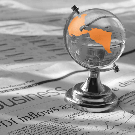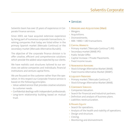## 1. MERGERS AND ACOUISITIONS (M&A)

- **·** Mergers.
- **·** Acquisitions.
- **·** Disinvestments.
- **·** MBI / MBO / LBO transactions.

#### 2.Capital Markets

- **·** Primary market ("Mercado Continuo") IPO.
- **·** Secondary market (MAB) IPO.
- **·** Public Tender Offer.
- **·** Capital Increase / Private Placements.
- **·** Fixed income issues.

#### 3. Nominated Advisors

- **·** Stock Echange Alternative Market (MAB).
- **·** Fixed Income Alternative Market (MARF).

#### 4. LIOUIDITY PROVIDER

- **·** Primary market ("Mercado Continuo").
- **·** Stock Echange Alternative Market (MAB).

#### 5. Corporate Services

- **·** Companies Valuation.
- **·** Search for Financial and Industrial partners.
- **·** Definition and analysis of business plans.
- **·** Liabilities reestructuration.

#### **6. PRIVATE EQUITY**

- **·** Search for operations.
- **·** Analysis of the health and viability of operations.
- **·** Design and structure.
- **·** Closing.
- **·** Monitoring and disinvestment.

Solventis team has over 25 years of experience in Corporate Finance services.

Since 2003, we have acquired extensive experience by being part of numerous corporate transactions, involving companies that today are listed either in the primary Spanish market (Mercado Continuo) or the secondary market (Mercado Alternativo Bursátil).

The objective of the corporate finance division is to offer creative, efficient and comprehensive solutions which provide the added value expected by our clients.

We have realistic cost structures tailored to our services: we advise companies and individuals, financial institutions and venture capital firms.

We are focused on the customer rather than the operation. In this respect our Corporate Finance service is based on the following principles:

- **·** Value-added service that provides creative solutions to customer needs.
- **·** Confidential dealings with independent professionals.
- **·** Long-term relationship building based on mutual trust.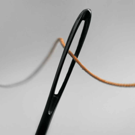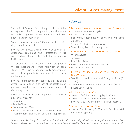- 1. Financial Planning for Individuals and Companies
- **·** Income and expense analysis.
- **·** Financial-tax analysis.
- **·** Risk profile determination (short and long term objective).
- **·** General Asset Management Advice.
- **·** Discretionary Portfolio Management.

#### 2. Comprehensive Global Family Offices Services

- **·** Wealth Advice.
- **·** Tax Advice.
- **·** Real Estate Advice.
- **·** Design of ad-hoc investment vehicles.
- **·** Financial risk analysis.

### 3.Inception, Management and Administration of Ucits Vehicles

- **·** Traditional Fixed Income and Equity vehicles (FI, SICAV).
- **·** Alternative Investments Funds and SICAV ( FIL, SIL).
- **·** Private Equity Funds.

### 4. In House Funds and Sicav

- **·** Solventis EOS (European Long Equity Value).
- **·** Solventis ATENEA (Short Term Fixed Income).
- **·** Solventis CRONOS (Medium Term Fixed Income).

### 5. In House Alternatives Funds

**·** Spanish Direct Leasing FIL (Specialist Small and Mid Cap Financing fund).

*Solventis A.V., S.A. is registered with the Spanish Securities Authority (CNMV) under registration number 244. Solventis S.G.I.I.C, S.A. is registered with the Spanish Securities Authority (CNMV) under registration number 248.*

This unit of Solventis is in charge of the portfolio management, the financial planning, and the inception and management of Investment funds and alternatives investments vehicles.

Solventis AM was set up in 2004 and has been offering its services since then.

Solventis AM boasts a team with over 25 years of experience, combining their professional tasks with teaching at universities and other prestigious institutions.

At Solventis AM the customer is our sole priority. We are independent professionals with an open structure. We strive to combine quality management with the best quantitative and qualitative products on the market.

Solventis' management methodology is based on an exhaustive basic analysis of each of the assets in our portfolios, together with continuos monitoring and risk management.

Solventis provides asset management and wealth advisory services for:

- **·** Individuals.
- **·** Family Offices.
- **·** Companies and Trusts.
- **·** Financial institutions and insurance companies.
- **·** Investment Funds, Pension Funds and Hedge Funds.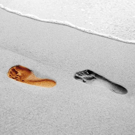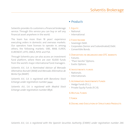## *Products*

## Solventis provides its customers a financial brokerage service. Through this service you can buy or sell any financial asset anywhere in the world.

The team has more than 18 years' experience executing orders in domestic and overseas markets. Our operators have licenses to operate in, among others, the following markets: SIBE, MAB, EUREX, EURENEXT, LIFFE, OMLX, NYSE and FSA.

Through Solventis you can also access an investment fund platform, where there are over 10,000 funds from the world's major international fund managers.

*Solventis A.V., S.A. is Nominated Advisor of Mercado Alternativo Bursatil (MAB) and Mercado Alternativo de Renta Fija (MARF).*

*Solventis A.V., S.A. is registered with Barcelona Stock Echange under registration number 9444.* 

*Solventis A.V., S.A. is registered with Madrid Stock Echange under registration number 8836.*

### 1. EQUITY

- **·** National.
- **·** International.

## 2. Fixed Income

- **·** Sovereign Debt.
- **·** Corporates (Senior and Subordinated) Debt.
- **·** Convertible Bonds.

## 3. Derivatives in organized and OTC markets

- **·** Futures.
- **·** "Plain Vanilla" Options.
- **·** Exotic Options.

## 4.Investments funds

- **·** Nationals.
- **·** Internationals.

## 5. Alternatives Investments Funds

- **·** Hedge Funds (F.I.L.).
- **·** Private Equity Funds (F.C.R).

## 6.Mutual Funds

## 7. Forex

8. DESING AND EXECUTION OF STRUCTURED PRODUCTS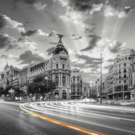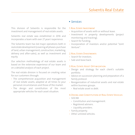#### 1. Real Estate Investment

- **·** Acquisition of assets with or without lease.
- **·** Investment in property developments (project monitoring and tracking).
- **·** Search for funding.
- **·** Incorporation of investors and/or potential "Joint Venture".

#### 2. Real Estate Divestments

- **·** Search for investors.
- **·** Sale and lease back.

#### 3. Real Estate Asset Optimization

- **·** Design and strategy for each client's suitable portfolio.
- **·** Advice on succession planning and preparation of a family protocol.
- **·** Reorganization of industrial assets and real estate within business groups.
	- **·** Real estate asset vs debt.

#### 4.Desing and Constitution of Real Estate Vehicles

- **·** SOCIMI
	- **·** Constitution and management.
	- **·** Registered advisers.
	- **·** Liquidity providers.
- **·** Family property.
- **·** Other unlisted vehicles.

This division of Solventis is responsible for the investment and management of real estate assets.

Solventis real estate was established in 2016 and incorporates a team with over 27 years' experience.

The Solventis team has led major operations both in real estate development (covering all phases: purchase of land, urban management, construction, marketing, delivery and after-sales), as well as investment and equity.

Our selection methodology of real estate assets is based on the extensive experience of our team and on a detailed analysis of each project.

The real estate division is focused on creating value for our customers through:

- **·** The comprehensive acquisition and management of real estate assets, adapted at all times to your personal circumstances and those of the market.
- **·** The design and constitution of the most appropriate vehicles for each asset situation.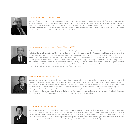

#### víctor moro rodríguez · *President Soventis A.V.*

Bachelor of Economics and Business Administration. Professor of mercantile. Former Deputy Director General of Banco de España. Director of Banco de España for Barcelona and Vigo. Former Vice President of the Boards of directors at Estrategias Galicia S.A. and Polipropileno de Galicia S.A. Former Independent Director at Union Fenosa and Constructora San José. Former Deputy Director of Ministry of Fisheries and Merchant Marine. Former General Director at Pescanova. Former Constituent Senator. Honored with the Cross of Sant Jordi, the Cross to the Naval Merit, the Order of Constitutional Merit and the Greater Merit Award for Sea Cooperation.



#### ramiro martínez-pardo del valle · *President Solventis SGIIC*

Bachelor in Economics and Business Administration from the Complutense University of Madrid. Chartered Accountant, member of the Institute of Chartered Accountants of Spain. Former General Director of Development at CNMV. Independent Director at Laboratorios Reig Jofre and Audax Energy. Former Chairman and Managing Director of Nordkapp Gestión SGIIC. Former Chairman at Gomarq Consulting S.L. Former Director and Secretary of the Board at Beta Capital SV and Beta Capital Meespierson SGIIC. Former Member of the board at Inverco and the Spanish Securities Market Association. Former Member of the Accounting and Auditing Commission at the Accounting Institute. Vice President of the board of the Spanish Institute of Financial Analyst (IEAF). Director of the Centre for the Reform of European Securities Markets of Financial Studies Foundation. Professor in various Masters and graduate courses on securities markets, corporate governance, ethics and codes of conduct, financial law and prevention of money laundering.



#### alberto moro suárez · *Chief Executive Officer*

Doctorate (PhD) in Economics and Bachelor of Economics from the Universidad de Barcelona (UB). Lecturer in Security Markets and Financial Instruments and Markets (Universidad de Barcelona). Academic Coordinator for the Equity Securities area at IEF (Institut d'Estudis Financers), Barcelona. Former member of the Board of Directors of Espírito Santo Dealer, with responsibilities within the derivative products area (organized and OTC markets). Former Director of the Non-fixed Income Securities and Derivative Products area at Benito y Monjardín SV SA, with responsibilities in the management area. Former Director of the Equity Securities and Derivative Products area at Ahorro Corporación Financiera, SV SA in Barcelona. Former Director of the Barcelona Stock Exchange Research Service. Former President of the Catalonia branch of the Spanish Institute of Financial Analysts (IEAF) and Vice President of IEAF on a national level.



#### carlos masdevall garçon · *Partner*

Bachelor of Economics (Universidad de Barcelona). CEFA (Certified European Financial Analyst) and CEVE (Expert Company Evaluator Certificate). Lecturer in Financial and Securities Markets at the Universidad de Barcelona (UB). Former Management Director for Arcalia Patrimonios in Barcelona. Former Head of the Treasury Desk Front-Office, leading the departments of Fixed Income Securities and Equity Securities at Caixa Penedès, as well as managing its own treasury account. Former member of the management team for the Caixa Penedès Asset Manager (CEP S.G.I.I.C. SA). Member of the board at the Spanish Institute of Financial Analysts (IEAF).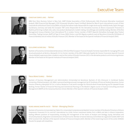

#### christian torres lang · *Partner*

MBA from Stern Business School in New York. GARP (Global Association of Risk Professionals), CAIA (Chartered Alternative Investment Analyst), FRM (Financial Risk Manager), CEVE (Corporate Valuation Expert Certified). Worked for Merrill Lynch International as part of their Corporate & Institutional Client Group EMEA, as Equity Derivatives trader. Responsible for single stocks equity volatility books: Spain, Portugal, Scandinavia, Germany and lastly the European TMT sector. Responsible for the Derivatives business at Ahorro Corporación Financiera in Madrid, performing multiple roles: sales, new product development, market-making, risk arbitrage and volatility trading. Member of the Risk Management Group at Bankers Trust International Plc in London. Former member of MEFF (Spanish Derivatives Exchange), New Product Committee. Trading Licenses: Meff Full Type III, Eurex, OMLX, Series 7 and SFA. Regular academic work at Barcelona University (UB Master of Financial Markets) and at Institut d'Estudis Financers (IEF). Member of the board at the Spanish Institute of Financial Analysts (IEAF).



#### guillermo alfaro bau · *Partner*

Bachelor of Economics (Universidad de Barcelona). CEFA (Certified European Financial Analyst). Formerly responsible for managing OTCs and structured products at Benito y Monjardín SV S.A. Former member of the MEFF (Mercado Español de Futuros Financieros-Spanish Financial Futures Market) supervisory team. Academic work at the Institut d'Estudis Financers (IEF) in the derivative products and structuring division. Member of the board at the Spanish Institute of Financial Analysts (IEAF).



#### Pablo Moro Suárez · *Partner*

Bachelor of Business Management and Administration (Universidad de Barcelona). Bachelor of Arts (Honours) in Combined Studies (University of Wolverhampton, UK). MBA in personal banking and asset management by IEF (Institute of financial Studies), Barcelona. Former Director of Benito y Monjardín SV S.A. in Galicia. Worked as a net worth manager for Deutsche Bank Private Banking and for Sabadell Private Banking. Former Teacher of Financial Planning and Commercial Planning on the Master's degree course in Financial Consulting and Asset Management (MAFP) at the Caixanova Business School. Member of the Spanish Institute of Financial Analysts (IEAF).



#### pedro arranz martín-nieto · *Partner - Managing Director*

Bachelor of Economics (Universidad San Pablo CEU, Universidad Complutense de Madrid). Former member of the Board of Directors of Ahorro Corporación Financiera SV S.A. and ACF International Inc (USA). Former Investment banker, first in BBVA and later in Ahorro Corporation, leading different positions of responsibility, including the management of the teams of Analysis and Strategy, Equity, Derivatives and structured products, Origination and distribution of Fixed Income. Member of several Advisory Committees for organized markets MEFF and NYSE Euronext ICAC. Member of the Spanish Institute of Financial Analysts (IEAF). Member of the Governing Council of the center AFANIAS Pozuelo for people with disabilities.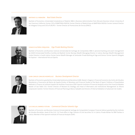

#### antonio gil rabadán · *Real Estate Director*

Bachelor of Economics, Universidad Complutense of Madrid. MBA in Business Administration from McLaren Business School, University of San Francisco, California. Former CEO of MARTINSA-FADESA. Former Director of Madrid Area at MARTINSA-FADESA. Former General Director at Urbagasa Group and CEO of GRUPO I. Former Director at Promociones de Oncisa (ONCE).



#### ignacio autrán cerqueira · *Vigo Private Banking Director*

Bachelor of Economic and Business Sciences (Universidad de Santiago de Compostela). MBA in personal banking and asset management by ICADE (Universidad Pontifica Comillas de Madrid). Former Barclays Wealth Managing Director in Galicia. Barclays Wealth Management Center Director in South Galicia. Former Senior Wealth Manager at Santander Private Banking at Vigo and Orense. Former Spanish Delegate for Exponor – International Feria at Oporto.



#### juan carlos canudo rodríguez · *Business Development Director*

Bachelor of Economics granted by Universidad Autónoma de Barcelona (UAB). Master's Degree in Financial Economics by Centro de Estudios Monetarios y Financieros del Banco de España (Center of Monetary and Financial Studies of the Bank of Spain). Professor of Quantitative Methods in Finance at Instituto Español de Analistas Financieros (IEAF-Spanish Institute of Financial Analysts) and at the Financial Markets Master of San Pablo CEU. Former Director of Research & Strategy and Head of Alternative and Institutional Management at Ahorro Corporación Gestión. Former Director of Financial Planning at Banco Sabadell and Director of Internal Validation of advanced risk models.



#### luis miguel barros feteira · *Commercial Director Solventis Vigo*

Bachelor of Economic and Business Sciences (Universidad de Santiago de Compostela). European Financial Advisor granted by the Instituto de Estudios Bursátiles. Head of the G.V.C. S.V. Front-office in Vigo. Director of Link Securities S.V. in Galicia. Private Banker for BNP Paribas in Galicia. Member of the Spanish Institute of Financial Analysts (IEAF).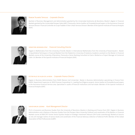

#### Ramon Talamàs Tapiolas · *Corporate Director*

Bachelor of Business Management and Administration granted by the Universidad Autónoma de Barcelona. Master's degree in Financial Markets granted by the Universidad Pompeu Fabra (IdEC). Previously a Senior Auditor at PricewaterhouseCoopers in the Assurance-Financial Services division. Financial Controller at Grupo Tradebe in their Urban Services Division. Member of the Spanish Institute of Financial Analysts (IEAF).



#### sebastián miranda díaz · *Financial Consulting Director*

Degree in Mathematics from the University of Seville. Master in International Mathematics from the University of Kaiserslautern. Master in Quantitative Techniques in Financial Markets from the Polytechnic University of Catalonia. Academic assistant on the Master in Financial Markets course at the University of Barcelona. Previously a Senior Banking Consultant at Everis. Worked as a Project Manager at Comercial Gallo. S.A. Member of the Spanish Institute of Financial Analysts (IEAF).



#### víctor ruiz de alda de la rosa · *Corporate Finance Director*

Degree in Business Administration from ESADE (Ramon Llull University). Master in Business Administration specializing in Finance from ESADE. Department Supervisor at BDO Finanzas Corporativas S.L., leading Due Diligence projects. Senior Auditor at PricewaterhouseCoopers in the Assurance-Financial Services area. Specialized in audits of financial institutions and real estate. Member of the Spanish Institute of Financial Analysts (IEAF).



#### xavier brun lozano · *Asset Management Director*

Ph.D. in Economics and Business Studies from the University of Barcelona. Masters in Banking and Finance from IDEC. Degree in Business Administration and a Diploma in Business Studies from the Pompeu Fabra University. Professor and coordinator of the Masters in Financial Markets course at BSM-UPF. Former Senior Equities Analyst at Strategic Investment Advisors (SIA Funds-Luxembourg). Worked at Gesiuris as risk unit manager. Author of various books and coordinator of the Financial Advisory Collection of Editorial Profit. Member of the Global Association of Risk Professionals (GARP).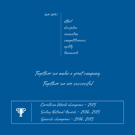effort discipline innovation competitiveness agility teamwork

we are:

Together we make a great company

Together we are successful



Corinthian World champions - 2015 Sailing National Awards - 2014, 2015 Spanish champions - 2014, 2015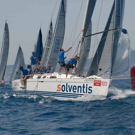